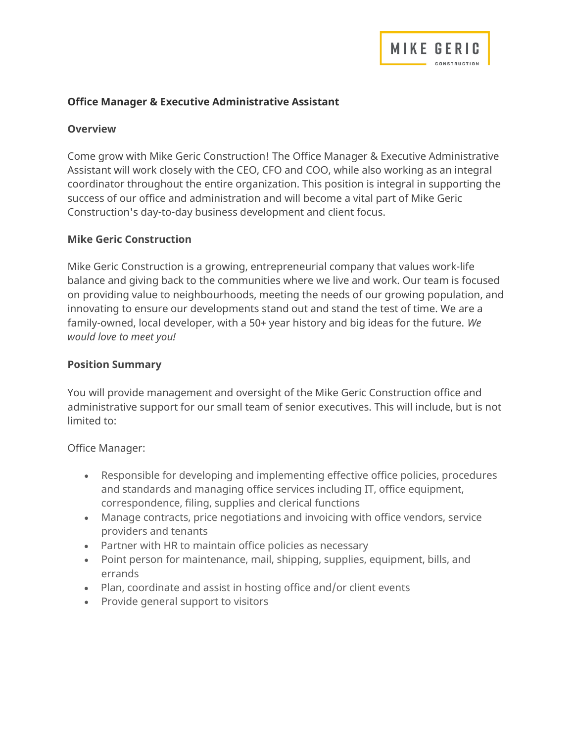

### Office Manager & Executive Administrative Assistant

#### **Overview**

Come grow with Mike Geric Construction! The Office Manager & Executive Administrative Assistant will work closely with the CEO, CFO and COO, while also working as an integral coordinator throughout the entire organization. This position is integral in supporting the success of our office and administration and will become a vital part of Mike Geric Construction's day-to-day business development and client focus.

#### Mike Geric Construction

Mike Geric Construction is a growing, entrepreneurial company that values work-life balance and giving back to the communities where we live and work. Our team is focused on providing value to neighbourhoods, meeting the needs of our growing population, and innovating to ensure our developments stand out and stand the test of time. We are a family-owned, local developer, with a 50+ year history and big ideas for the future. We would love to meet you!

#### Position Summary

You will provide management and oversight of the Mike Geric Construction office and administrative support for our small team of senior executives. This will include, but is not limited to:

Office Manager:

- Responsible for developing and implementing effective office policies, procedures and standards and managing office services including IT, office equipment, correspondence, filing, supplies and clerical functions
- Manage contracts, price negotiations and invoicing with office vendors, service providers and tenants
- Partner with HR to maintain office policies as necessary
- Point person for maintenance, mail, shipping, supplies, equipment, bills, and errands
- Plan, coordinate and assist in hosting office and/or client events
- Provide general support to visitors